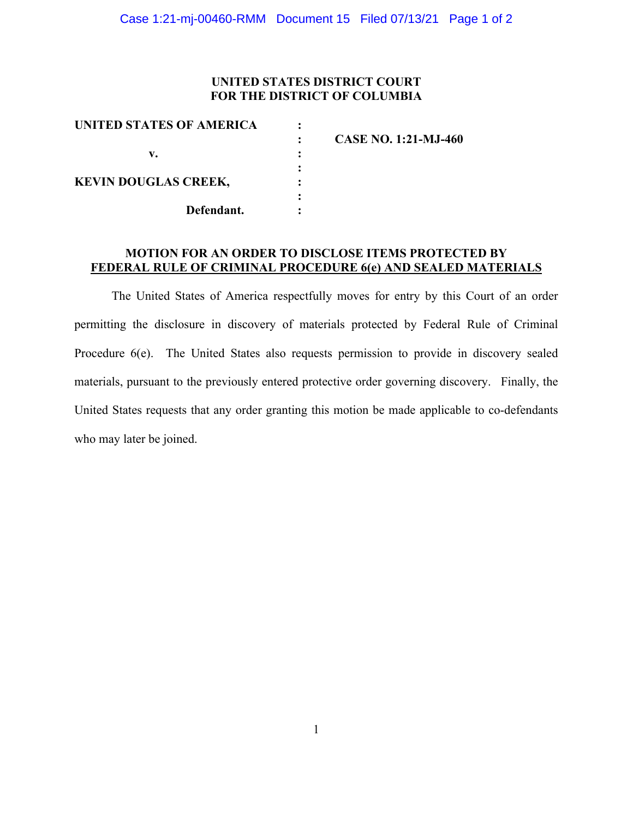## **UNITED STATES DISTRICT COURT FOR THE DISTRICT OF COLUMBIA**

| UNITED STATES OF AMERICA    |                             |
|-----------------------------|-----------------------------|
|                             | <b>CASE NO. 1:21-MJ-460</b> |
| v.                          |                             |
|                             |                             |
| <b>KEVIN DOUGLAS CREEK,</b> |                             |
| Defendant.                  |                             |
|                             |                             |

## **MOTION FOR AN ORDER TO DISCLOSE ITEMS PROTECTED BY FEDERAL RULE OF CRIMINAL PROCEDURE 6(e) AND SEALED MATERIALS**

The United States of America respectfully moves for entry by this Court of an order permitting the disclosure in discovery of materials protected by Federal Rule of Criminal Procedure 6(e). The United States also requests permission to provide in discovery sealed materials, pursuant to the previously entered protective order governing discovery. Finally, the United States requests that any order granting this motion be made applicable to co-defendants who may later be joined.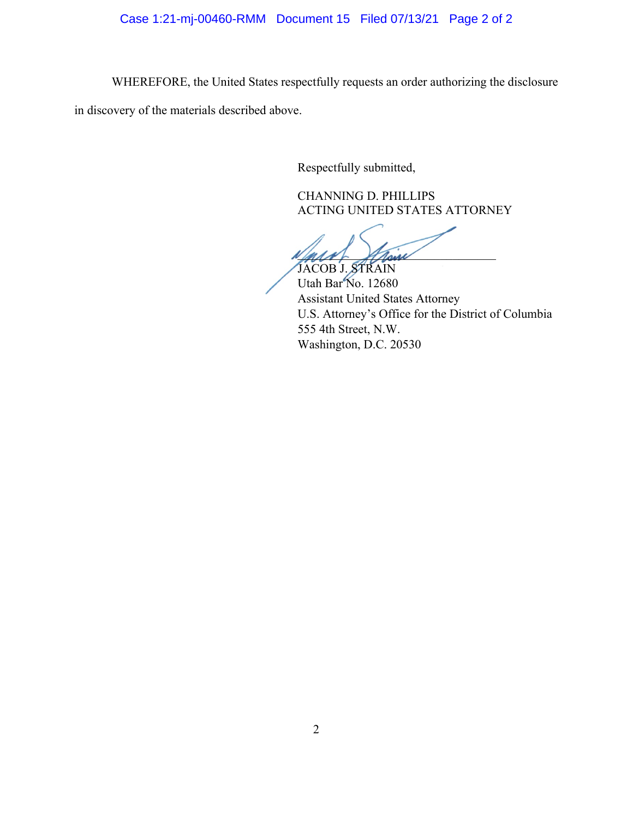# Case 1:21-mj-00460-RMM Document 15 Filed 07/13/21 Page 2 of 2

WHEREFORE, the United States respectfully requests an order authorizing the disclosure

in discovery of the materials described above.

Respectfully submitted,

CHANNING D. PHILLIPS ACTING UNITED STATES ATTORNEY

and their JACOB J. STRAIN

Utah Bar No. 12680 Assistant United States Attorney U.S. Attorney's Office for the District of Columbia 555 4th Street, N.W. Washington, D.C. 20530